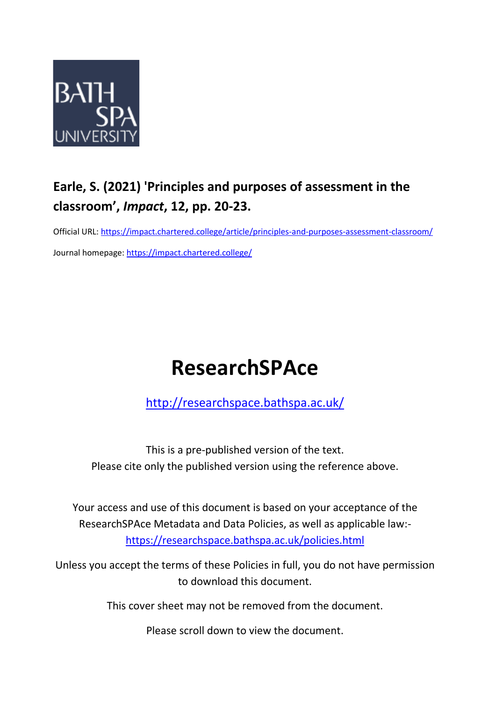

# **Earle, S. (2021) 'Principles and purposes of assessment in the classroom' ,** *Impact***, 12, pp. 20-23.**

Official URL: <https://impact.chartered.college/article/principles-and-purposes-assessment-classroom/> Journal homepage:<https://impact.chartered.college/>

# **ResearchSPAce**

<http://researchspace.bathspa.ac.uk/>

This is a pre-published version of the text. Please cite only the published version using the reference above.

Your access and use of this document is based on your acceptance of the ResearchSPAce Metadata and Data Policies, as well as applicable law: https://researchspace.bathspa.ac.uk/policies.html

Unless you accept the terms of these Policies in full, you do not have permission to download this document.

This cover sheet may not be removed from the document.

Please scroll down to view the document.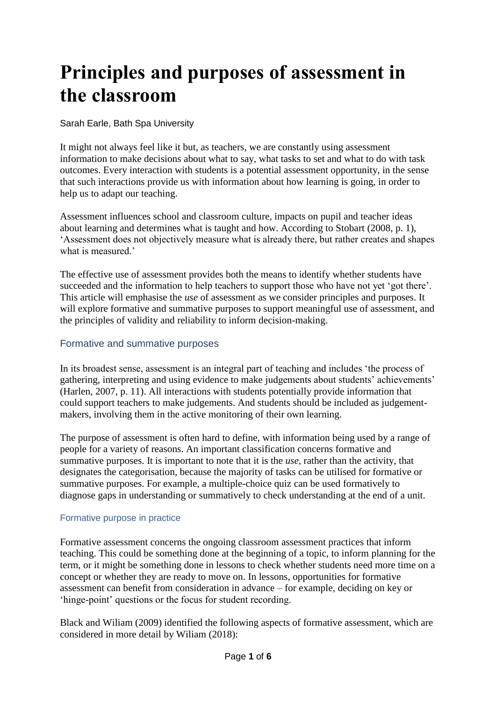# **Principles and purposes of assessment in the classroom**

## Sarah Earle, Bath Spa University

It might not always feel like it but, as teachers, we are constantly using assessment information to make decisions about what to say, what tasks to set and what to do with task outcomes. Every interaction with students is a potential assessment opportunity, in the sense that such interactions provide us with information about how learning is going, in order to help us to adapt our teaching.

Assessment influences school and classroom culture, impacts on pupil and teacher ideas about learning and determines what is taught and how. According to Stobart (2008, p. 1), 'Assessment does not objectively measure what is already there, but rather creates and shapes what is measured.'

The effective use of assessment provides both the means to identify whether students have succeeded and the information to help teachers to support those who have not yet 'got there'. This article will emphasise the *use* of assessment as we consider principles and purposes. It will explore formative and summative purposes to support meaningful use of assessment, and the principles of validity and reliability to inform decision-making.

# Formative and summative purposes

In its broadest sense, assessment is an integral part of teaching and includes 'the process of gathering, interpreting and using evidence to make judgements about students' achievements' (Harlen, 2007, p. 11). All interactions with students potentially provide information that could support teachers to make judgements. And students should be included as judgementmakers, involving them in the active monitoring of their own learning.

The purpose of assessment is often hard to define, with information being used by a range of people for a variety of reasons. An important classification concerns formative and summative purposes. It is important to note that it is the *use,* rather than the activity, that designates the categorisation, because the majority of tasks can be utilised for formative or summative purposes. For example, a multiple-choice quiz can be used formatively to diagnose gaps in understanding or summatively to check understanding at the end of a unit.

### Formative purpose in practice

Formative assessment concerns the ongoing classroom assessment practices that inform teaching. This could be something done at the beginning of a topic, to inform planning for the term, or it might be something done in lessons to check whether students need more time on a concept or whether they are ready to move on. In lessons, opportunities for formative assessment can benefit from consideration in advance – for example, deciding on key or 'hinge-point' questions or the focus for student recording.

Black and Wiliam (2009) identified the following aspects of formative assessment, which are considered in more detail by Wiliam (2018):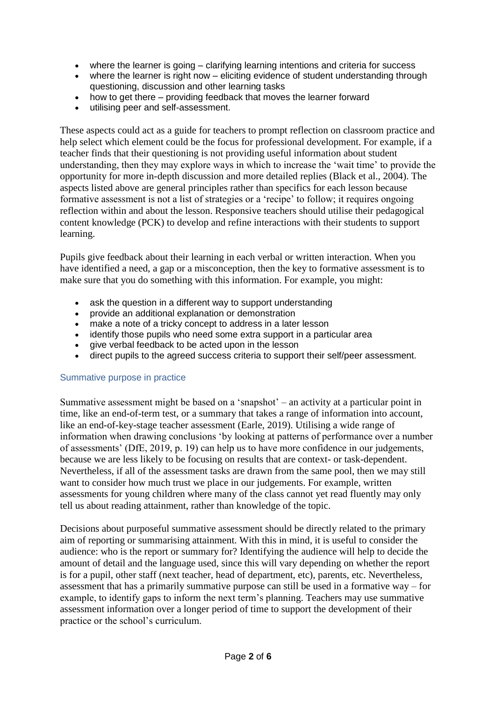- where the learner is going clarifying learning intentions and criteria for success
- where the learner is right now eliciting evidence of student understanding through questioning, discussion and other learning tasks
- how to get there providing feedback that moves the learner forward
- utilising peer and self-assessment.

These aspects could act as a guide for teachers to prompt reflection on classroom practice and help select which element could be the focus for professional development. For example, if a teacher finds that their questioning is not providing useful information about student understanding, then they may explore ways in which to increase the 'wait time' to provide the opportunity for more in-depth discussion and more detailed replies (Black et al., 2004). The aspects listed above are general principles rather than specifics for each lesson because formative assessment is not a list of strategies or a 'recipe' to follow; it requires ongoing reflection within and about the lesson. Responsive teachers should utilise their pedagogical content knowledge (PCK) to develop and refine interactions with their students to support learning.

Pupils give feedback about their learning in each verbal or written interaction. When you have identified a need, a gap or a misconception, then the key to formative assessment is to make sure that you do something with this information. For example, you might:

- ask the question in a different way to support understanding
- provide an additional explanation or demonstration
- make a note of a tricky concept to address in a later lesson
- identify those pupils who need some extra support in a particular area
- give verbal feedback to be acted upon in the lesson
- direct pupils to the agreed success criteria to support their self/peer assessment.

#### Summative purpose in practice

Summative assessment might be based on a 'snapshot' – an activity at a particular point in time, like an end-of-term test, or a summary that takes a range of information into account, like an end-of-key-stage teacher assessment (Earle, 2019). Utilising a wide range of information when drawing conclusions 'by looking at patterns of performance over a number of assessments' (DfE, 2019, p. 19) can help us to have more confidence in our judgements, because we are less likely to be focusing on results that are context- or task-dependent. Nevertheless, if all of the assessment tasks are drawn from the same pool, then we may still want to consider how much trust we place in our judgements. For example, written assessments for young children where many of the class cannot yet read fluently may only tell us about reading attainment, rather than knowledge of the topic.

Decisions about purposeful summative assessment should be directly related to the primary aim of reporting or summarising attainment. With this in mind, it is useful to consider the audience: who is the report or summary for? Identifying the audience will help to decide the amount of detail and the language used, since this will vary depending on whether the report is for a pupil, other staff (next teacher, head of department, etc), parents, etc. Nevertheless, assessment that has a primarily summative purpose can still be used in a formative way – for example, to identify gaps to inform the next term's planning. Teachers may use summative assessment information over a longer period of time to support the development of their practice or the school's curriculum.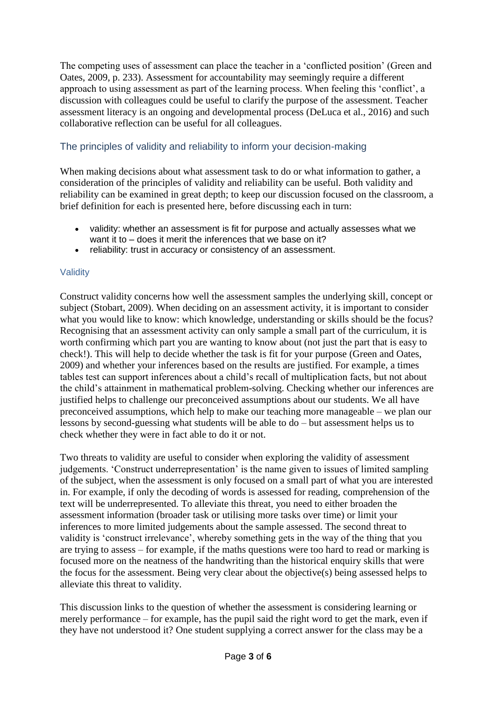The competing uses of assessment can place the teacher in a 'conflicted position' (Green and Oates, 2009, p. 233). Assessment for accountability may seemingly require a different approach to using assessment as part of the learning process. When feeling this 'conflict', a discussion with colleagues could be useful to clarify the purpose of the assessment. Teacher assessment literacy is an ongoing and developmental process (DeLuca et al., 2016) and such collaborative reflection can be useful for all colleagues.

# The principles of validity and reliability to inform your decision-making

When making decisions about what assessment task to do or what information to gather, a consideration of the principles of validity and reliability can be useful. Both validity and reliability can be examined in great depth; to keep our discussion focused on the classroom, a brief definition for each is presented here, before discussing each in turn:

- validity: whether an assessment is fit for purpose and actually assesses what we want it to – does it merit the inferences that we base on it?
- reliability: trust in accuracy or consistency of an assessment.

# **Validity**

Construct validity concerns how well the assessment samples the underlying skill, concept or subject (Stobart, 2009). When deciding on an assessment activity, it is important to consider what you would like to know: which knowledge, understanding or skills should be the focus? Recognising that an assessment activity can only sample a small part of the curriculum, it is worth confirming which part you are wanting to know about (not just the part that is easy to check!). This will help to decide whether the task is fit for your purpose (Green and Oates, 2009) and whether your inferences based on the results are justified. For example, a times tables test can support inferences about a child's recall of multiplication facts, but not about the child's attainment in mathematical problem-solving. Checking whether our inferences are justified helps to challenge our preconceived assumptions about our students. We all have preconceived assumptions, which help to make our teaching more manageable – we plan our lessons by second-guessing what students will be able to do – but assessment helps us to check whether they were in fact able to do it or not.

Two threats to validity are useful to consider when exploring the validity of assessment judgements. 'Construct underrepresentation' is the name given to issues of limited sampling of the subject, when the assessment is only focused on a small part of what you are interested in. For example, if only the decoding of words is assessed for reading, comprehension of the text will be underrepresented. To alleviate this threat, you need to either broaden the assessment information (broader task or utilising more tasks over time) or limit your inferences to more limited judgements about the sample assessed. The second threat to validity is 'construct irrelevance', whereby something gets in the way of the thing that you are trying to assess – for example, if the maths questions were too hard to read or marking is focused more on the neatness of the handwriting than the historical enquiry skills that were the focus for the assessment. Being very clear about the objective(s) being assessed helps to alleviate this threat to validity.

This discussion links to the question of whether the assessment is considering learning or merely performance – for example, has the pupil said the right word to get the mark, even if they have not understood it? One student supplying a correct answer for the class may be a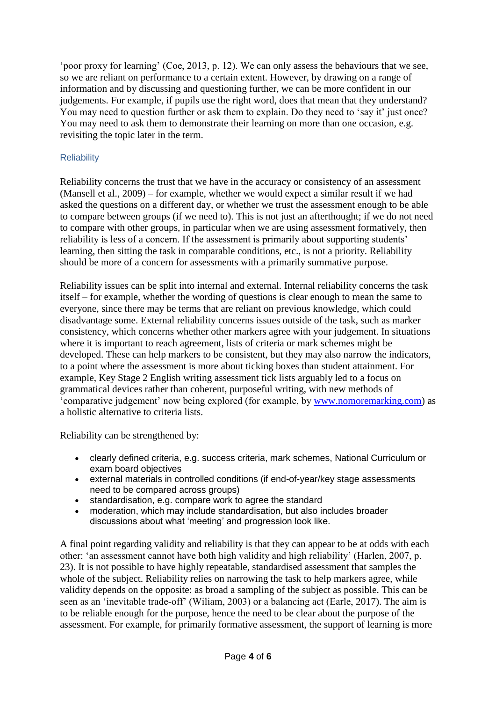'poor proxy for learning' (Coe, 2013, p. 12). We can only assess the behaviours that we see, so we are reliant on performance to a certain extent. However, by drawing on a range of information and by discussing and questioning further, we can be more confident in our judgements. For example, if pupils use the right word, does that mean that they understand? You may need to question further or ask them to explain. Do they need to 'say it' just once? You may need to ask them to demonstrate their learning on more than one occasion, e.g. revisiting the topic later in the term.

## **Reliability**

Reliability concerns the trust that we have in the accuracy or consistency of an assessment (Mansell et al., 2009) – for example, whether we would expect a similar result if we had asked the questions on a different day, or whether we trust the assessment enough to be able to compare between groups (if we need to). This is not just an afterthought; if we do not need to compare with other groups, in particular when we are using assessment formatively, then reliability is less of a concern. If the assessment is primarily about supporting students' learning, then sitting the task in comparable conditions, etc., is not a priority. Reliability should be more of a concern for assessments with a primarily summative purpose.

Reliability issues can be split into internal and external. Internal reliability concerns the task itself – for example, whether the wording of questions is clear enough to mean the same to everyone, since there may be terms that are reliant on previous knowledge, which could disadvantage some. External reliability concerns issues outside of the task, such as marker consistency, which concerns whether other markers agree with your judgement. In situations where it is important to reach agreement, lists of criteria or mark schemes might be developed. These can help markers to be consistent, but they may also narrow the indicators, to a point where the assessment is more about ticking boxes than student attainment. For example, Key Stage 2 English writing assessment tick lists arguably led to a focus on grammatical devices rather than coherent, purposeful writing, with new methods of 'comparative judgement' now being explored (for example, by [www.nomoremarking.com\)](http://www.nomoremarking.com/) as a holistic alternative to criteria lists.

Reliability can be strengthened by:

- clearly defined criteria, e.g. success criteria, mark schemes, National Curriculum or exam board objectives
- external materials in controlled conditions (if end-of-year/key stage assessments need to be compared across groups)
- standardisation, e.g. compare work to agree the standard
- moderation, which may include standardisation, but also includes broader discussions about what 'meeting' and progression look like.

A final point regarding validity and reliability is that they can appear to be at odds with each other: 'an assessment cannot have both high validity and high reliability' (Harlen, 2007, p. 23). It is not possible to have highly repeatable, standardised assessment that samples the whole of the subject. Reliability relies on narrowing the task to help markers agree, while validity depends on the opposite: as broad a sampling of the subject as possible. This can be seen as an 'inevitable trade-off' (Wiliam, 2003) or a balancing act (Earle, 2017). The aim is to be reliable enough for the purpose, hence the need to be clear about the purpose of the assessment. For example, for primarily formative assessment, the support of learning is more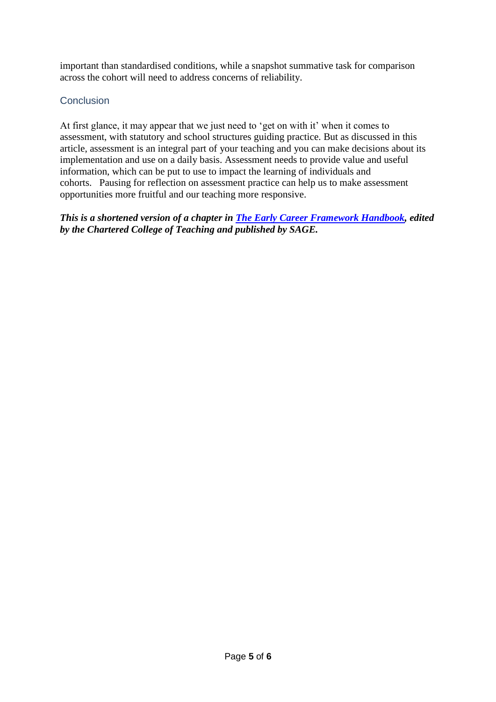important than standardised conditions, while a snapshot summative task for comparison across the cohort will need to address concerns of reliability.

# **Conclusion**

At first glance, it may appear that we just need to 'get on with it' when it comes to assessment, with statutory and school structures guiding practice. But as discussed in this article, assessment is an integral part of your teaching and you can make decisions about its implementation and use on a daily basis. Assessment needs to provide value and useful information, which can be put to use to impact the learning of individuals and cohorts. Pausing for reflection on assessment practice can help us to make assessment opportunities more fruitful and our teaching more responsive.

*This is a shortened version of a chapter in [The Early Career Framework Handbook,](http://my.chartered.college/publications) edited by the Chartered College of Teaching and published by SAGE.*